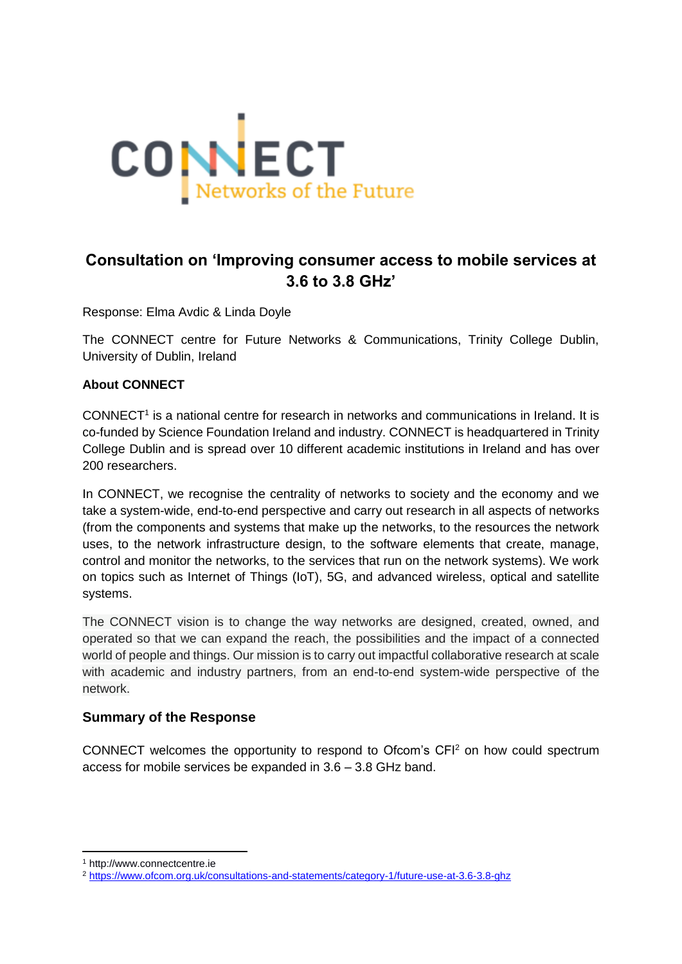

# **Consultation on 'Improving consumer access to mobile services at 3.6 to 3.8 GHz'**

Response: Elma Avdic & Linda Doyle

The CONNECT centre for Future Networks & Communications, Trinity College Dublin, University of Dublin, Ireland

### **About CONNECT**

CONNECT<sup>1</sup> is a national centre for research in networks and communications in Ireland. It is co-funded by Science Foundation Ireland and industry. CONNECT is headquartered in Trinity College Dublin and is spread over 10 different academic institutions in Ireland and has over 200 researchers.

In CONNECT, we recognise the centrality of networks to society and the economy and we take a system-wide, end-to-end perspective and carry out research in all aspects of networks (from the components and systems that make up the networks, to the resources the network uses, to the network infrastructure design, to the software elements that create, manage, control and monitor the networks, to the services that run on the network systems). We work on topics such as Internet of Things (IoT), 5G, and advanced wireless, optical and satellite systems.

The CONNECT vision is to change the way networks are designed, created, owned, and operated so that we can expand the reach, the possibilities and the impact of a connected world of people and things. Our mission is to carry out impactful collaborative research at scale with academic and industry partners, from an end-to-end system-wide perspective of the network.

# **Summary of the Response**

CONNECT welcomes the opportunity to respond to Ofcom's CFI<sup>2</sup> on how could spectrum access for mobile services be expanded in 3.6 – 3.8 GHz band.

**.** 

<sup>1</sup> http://www.connectcentre.ie

<sup>2</sup> <https://www.ofcom.org.uk/consultations-and-statements/category-1/future-use-at-3.6-3.8-ghz>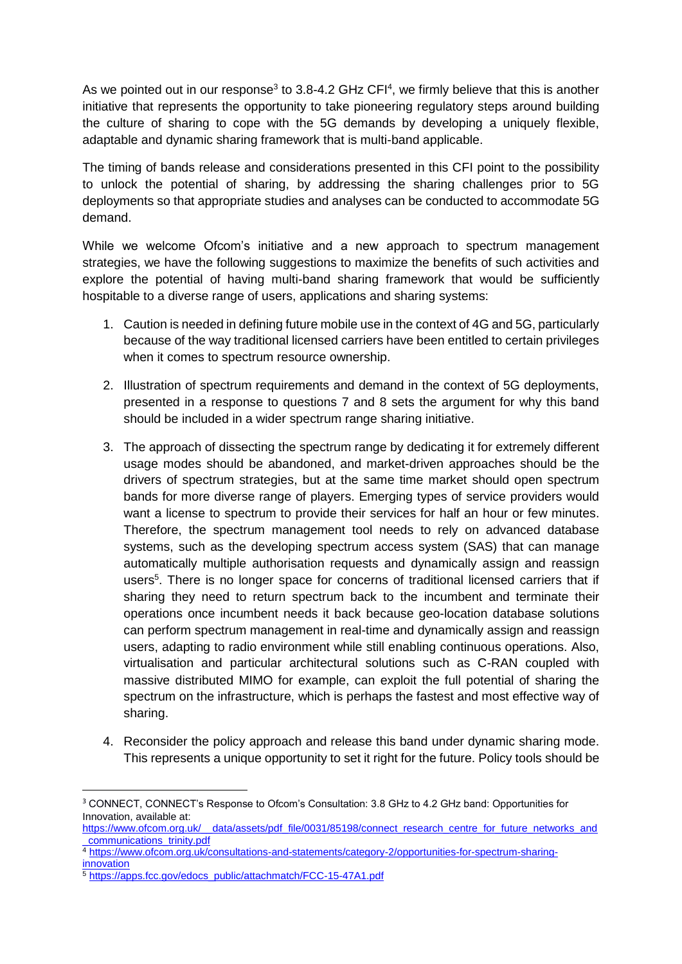As we pointed out in our response<sup>3</sup> to 3.8-4.2 GHz CFI<sup>4</sup>, we firmly believe that this is another initiative that represents the opportunity to take pioneering regulatory steps around building the culture of sharing to cope with the 5G demands by developing a uniquely flexible, adaptable and dynamic sharing framework that is multi-band applicable.

The timing of bands release and considerations presented in this CFI point to the possibility to unlock the potential of sharing, by addressing the sharing challenges prior to 5G deployments so that appropriate studies and analyses can be conducted to accommodate 5G demand.

While we welcome Ofcom's initiative and a new approach to spectrum management strategies, we have the following suggestions to maximize the benefits of such activities and explore the potential of having multi-band sharing framework that would be sufficiently hospitable to a diverse range of users, applications and sharing systems:

- 1. Caution is needed in defining future mobile use in the context of 4G and 5G, particularly because of the way traditional licensed carriers have been entitled to certain privileges when it comes to spectrum resource ownership.
- 2. Illustration of spectrum requirements and demand in the context of 5G deployments, presented in a response to questions 7 and 8 sets the argument for why this band should be included in a wider spectrum range sharing initiative.
- 3. The approach of dissecting the spectrum range by dedicating it for extremely different usage modes should be abandoned, and market-driven approaches should be the drivers of spectrum strategies, but at the same time market should open spectrum bands for more diverse range of players. Emerging types of service providers would want a license to spectrum to provide their services for half an hour or few minutes. Therefore, the spectrum management tool needs to rely on advanced database systems, such as the developing spectrum access system (SAS) that can manage automatically multiple authorisation requests and dynamically assign and reassign users<sup>5</sup>. There is no longer space for concerns of traditional licensed carriers that if sharing they need to return spectrum back to the incumbent and terminate their operations once incumbent needs it back because geo-location database solutions can perform spectrum management in real-time and dynamically assign and reassign users, adapting to radio environment while still enabling continuous operations. Also, virtualisation and particular architectural solutions such as C-RAN coupled with massive distributed MIMO for example, can exploit the full potential of sharing the spectrum on the infrastructure, which is perhaps the fastest and most effective way of sharing.
- 4. Reconsider the policy approach and release this band under dynamic sharing mode. This represents a unique opportunity to set it right for the future. Policy tools should be

1

<sup>3</sup> CONNECT, CONNECT's Response to Ofcom's Consultation: 3.8 GHz to 4.2 GHz band: Opportunities for Innovation, available at:

https://www.ofcom.org.uk/ data/assets/pdf\_file/0031/85198/connect\_research\_centre\_for\_future\_networks\_and [\\_communications\\_trinity.pdf](https://www.ofcom.org.uk/__data/assets/pdf_file/0031/85198/connect_research_centre_for_future_networks_and_communications_trinity.pdf)

<sup>4</sup> [https://www.ofcom.org.uk/consultations-and-statements/category-2/opportunities-for-spectrum-sharing](https://www.ofcom.org.uk/consultations-and-statements/category-2/opportunities-for-spectrum-sharing-innovation)[innovation](https://www.ofcom.org.uk/consultations-and-statements/category-2/opportunities-for-spectrum-sharing-innovation)

<sup>5</sup> [https://apps.fcc.gov/edocs\\_public/attachmatch/FCC-15-47A1.pdf](https://apps.fcc.gov/edocs_public/attachmatch/FCC-15-47A1.pdf)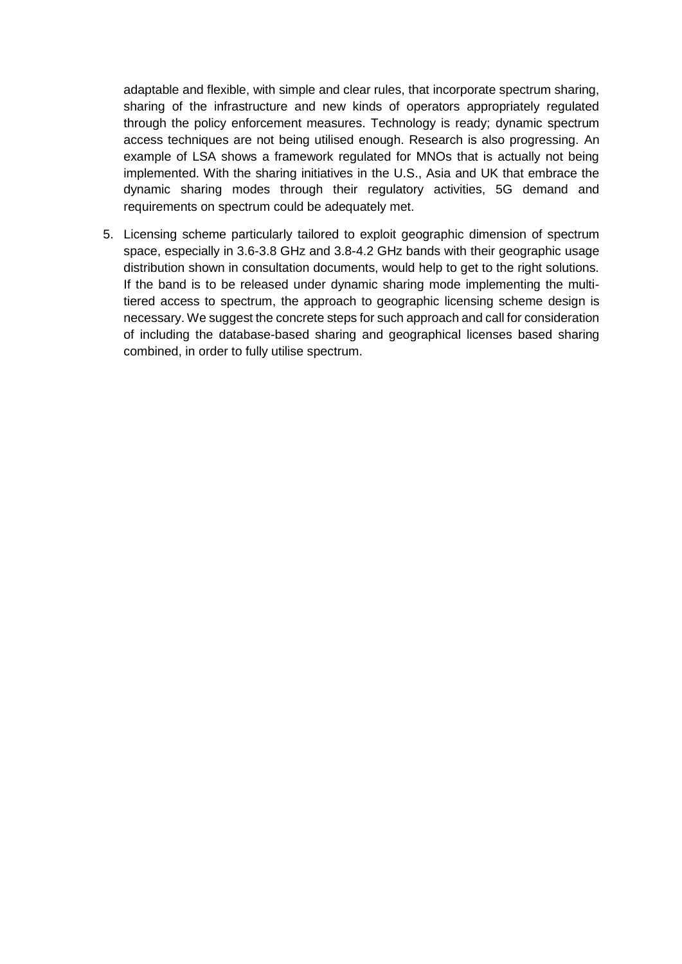adaptable and flexible, with simple and clear rules, that incorporate spectrum sharing, sharing of the infrastructure and new kinds of operators appropriately regulated through the policy enforcement measures. Technology is ready; dynamic spectrum access techniques are not being utilised enough. Research is also progressing. An example of LSA shows a framework regulated for MNOs that is actually not being implemented. With the sharing initiatives in the U.S., Asia and UK that embrace the dynamic sharing modes through their regulatory activities, 5G demand and requirements on spectrum could be adequately met.

5. Licensing scheme particularly tailored to exploit geographic dimension of spectrum space, especially in 3.6-3.8 GHz and 3.8-4.2 GHz bands with their geographic usage distribution shown in consultation documents, would help to get to the right solutions. If the band is to be released under dynamic sharing mode implementing the multitiered access to spectrum, the approach to geographic licensing scheme design is necessary. We suggest the concrete steps for such approach and call for consideration of including the database-based sharing and geographical licenses based sharing combined, in order to fully utilise spectrum.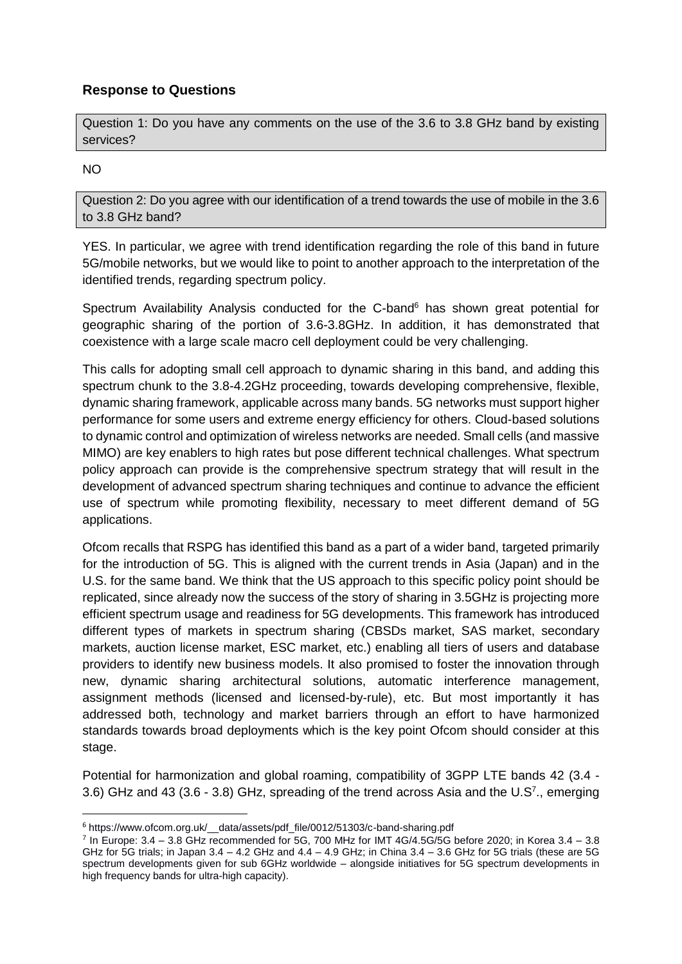# **Response to Questions**

Question 1: Do you have any comments on the use of the 3.6 to 3.8 GHz band by existing services?

#### NO

1

Question 2: Do you agree with our identification of a trend towards the use of mobile in the 3.6 to 3.8 GHz band?

YES. In particular, we agree with trend identification regarding the role of this band in future 5G/mobile networks, but we would like to point to another approach to the interpretation of the identified trends, regarding spectrum policy.

Spectrum Availability Analysis conducted for the C-band $6$  has shown great potential for geographic sharing of the portion of 3.6-3.8GHz. In addition, it has demonstrated that coexistence with a large scale macro cell deployment could be very challenging.

This calls for adopting small cell approach to dynamic sharing in this band, and adding this spectrum chunk to the 3.8-4.2GHz proceeding, towards developing comprehensive, flexible, dynamic sharing framework, applicable across many bands. 5G networks must support higher performance for some users and extreme energy efficiency for others. Cloud-based solutions to dynamic control and optimization of wireless networks are needed. Small cells (and massive MIMO) are key enablers to high rates but pose different technical challenges. What spectrum policy approach can provide is the comprehensive spectrum strategy that will result in the development of advanced spectrum sharing techniques and continue to advance the efficient use of spectrum while promoting flexibility, necessary to meet different demand of 5G applications.

Ofcom recalls that RSPG has identified this band as a part of a wider band, targeted primarily for the introduction of 5G. This is aligned with the current trends in Asia (Japan) and in the U.S. for the same band. We think that the US approach to this specific policy point should be replicated, since already now the success of the story of sharing in 3.5GHz is projecting more efficient spectrum usage and readiness for 5G developments. This framework has introduced different types of markets in spectrum sharing (CBSDs market, SAS market, secondary markets, auction license market, ESC market, etc.) enabling all tiers of users and database providers to identify new business models. It also promised to foster the innovation through new, dynamic sharing architectural solutions, automatic interference management, assignment methods (licensed and licensed-by-rule), etc. But most importantly it has addressed both, technology and market barriers through an effort to have harmonized standards towards broad deployments which is the key point Ofcom should consider at this stage.

Potential for harmonization and global roaming, compatibility of 3GPP LTE bands 42 (3.4 - 3.6) GHz and 43 (3.6 - 3.8) GHz, spreading of the trend across Asia and the U.S<sup>7</sup>., emerging

<sup>6</sup> https://www.ofcom.org.uk/\_\_data/assets/pdf\_file/0012/51303/c-band-sharing.pdf

<sup>7</sup> In Europe: 3.4 – 3.8 GHz recommended for 5G, 700 MHz for IMT 4G/4.5G/5G before 2020; in Korea 3.4 – 3.8 GHz for 5G trials; in Japan  $3.4 - 4.2$  GHz and  $4.4 - 4.9$  GHz; in China  $3.4 - 3.6$  GHz for 5G trials (these are 5G spectrum developments given for sub 6GHz worldwide – alongside initiatives for 5G spectrum developments in high frequency bands for ultra-high capacity).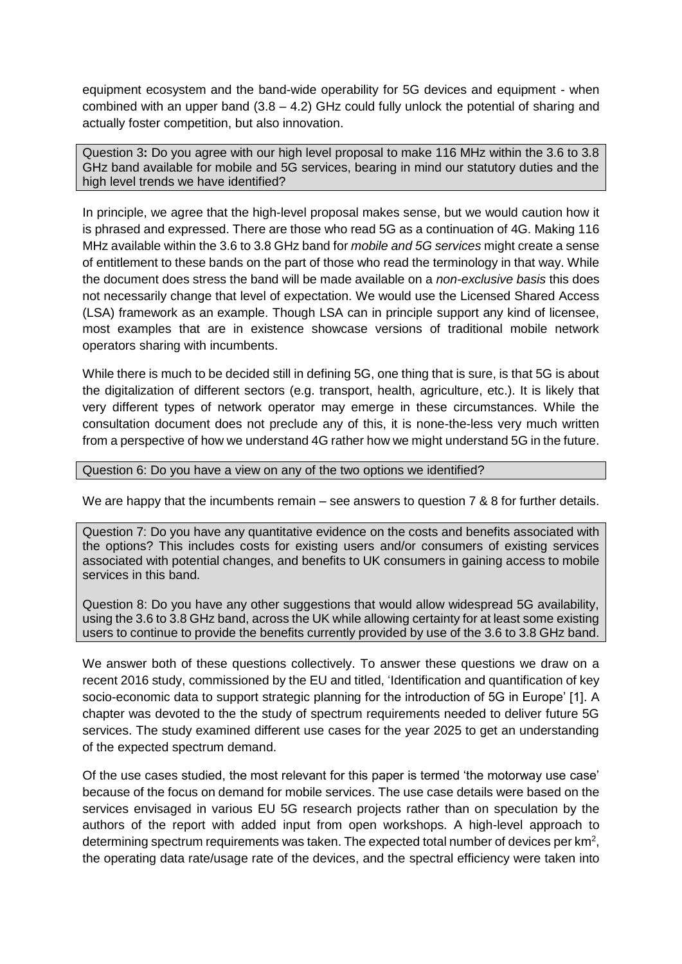equipment ecosystem and the band-wide operability for 5G devices and equipment - when combined with an upper band  $(3.8 - 4.2)$  GHz could fully unlock the potential of sharing and actually foster competition, but also innovation.

Question 3**:** Do you agree with our high level proposal to make 116 MHz within the 3.6 to 3.8 GHz band available for mobile and 5G services, bearing in mind our statutory duties and the high level trends we have identified?

In principle, we agree that the high-level proposal makes sense, but we would caution how it is phrased and expressed. There are those who read 5G as a continuation of 4G. Making 116 MHz available within the 3.6 to 3.8 GHz band for *mobile and 5G services* might create a sense of entitlement to these bands on the part of those who read the terminology in that way. While the document does stress the band will be made available on a *non-exclusive basis* this does not necessarily change that level of expectation. We would use the Licensed Shared Access (LSA) framework as an example. Though LSA can in principle support any kind of licensee, most examples that are in existence showcase versions of traditional mobile network operators sharing with incumbents.

While there is much to be decided still in defining 5G, one thing that is sure, is that 5G is about the digitalization of different sectors (e.g. transport, health, agriculture, etc.). It is likely that very different types of network operator may emerge in these circumstances. While the consultation document does not preclude any of this, it is none-the-less very much written from a perspective of how we understand 4G rather how we might understand 5G in the future.

#### Question 6: Do you have a view on any of the two options we identified?

We are happy that the incumbents remain – see answers to question 7 & 8 for further details.

Question 7: Do you have any quantitative evidence on the costs and benefits associated with the options? This includes costs for existing users and/or consumers of existing services associated with potential changes, and benefits to UK consumers in gaining access to mobile services in this band.

Question 8: Do you have any other suggestions that would allow widespread 5G availability, using the 3.6 to 3.8 GHz band, across the UK while allowing certainty for at least some existing users to continue to provide the benefits currently provided by use of the 3.6 to 3.8 GHz band.

We answer both of these questions collectively. To answer these questions we draw on a recent 2016 study, commissioned by the EU and titled, 'Identification and quantification of key socio-economic data to support strategic planning for the introduction of 5G in Europe' [1]. A chapter was devoted to the the study of spectrum requirements needed to deliver future 5G services. The study examined different use cases for the year 2025 to get an understanding of the expected spectrum demand.

Of the use cases studied, the most relevant for this paper is termed 'the motorway use case' because of the focus on demand for mobile services. The use case details were based on the services envisaged in various EU 5G research projects rather than on speculation by the authors of the report with added input from open workshops. A high-level approach to determining spectrum requirements was taken. The expected total number of devices per  $km^2$ , the operating data rate/usage rate of the devices, and the spectral efficiency were taken into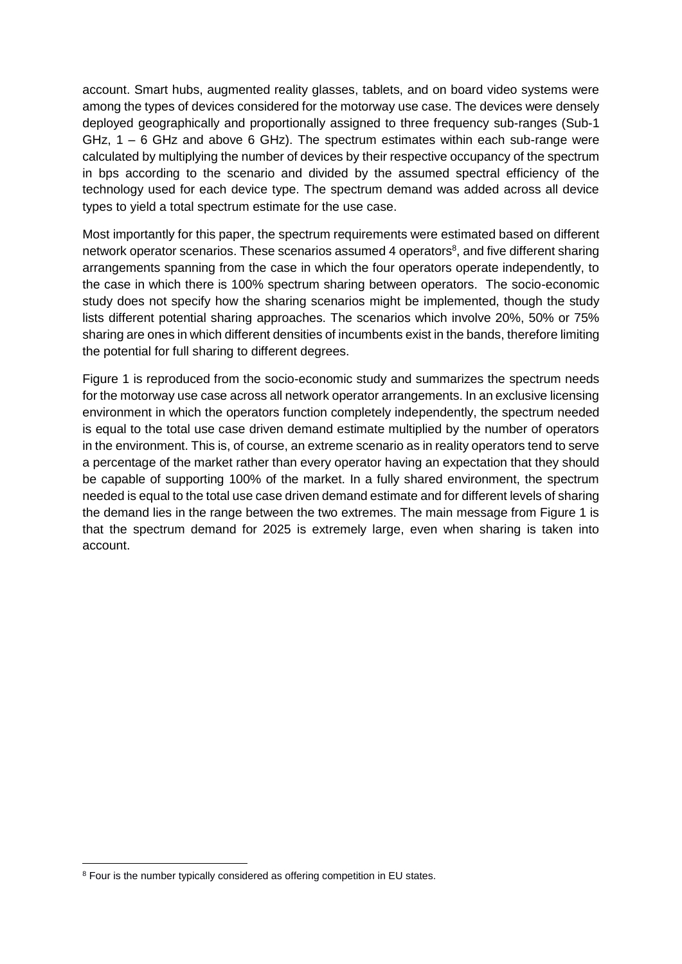account. Smart hubs, augmented reality glasses, tablets, and on board video systems were among the types of devices considered for the motorway use case. The devices were densely deployed geographically and proportionally assigned to three frequency sub-ranges (Sub-1 GHz,  $1 - 6$  GHz and above 6 GHz). The spectrum estimates within each sub-range were calculated by multiplying the number of devices by their respective occupancy of the spectrum in bps according to the scenario and divided by the assumed spectral efficiency of the technology used for each device type. The spectrum demand was added across all device types to yield a total spectrum estimate for the use case.

Most importantly for this paper, the spectrum requirements were estimated based on different network operator scenarios. These scenarios assumed 4 operators<sup>8</sup>, and five different sharing arrangements spanning from the case in which the four operators operate independently, to the case in which there is 100% spectrum sharing between operators. The socio-economic study does not specify how the sharing scenarios might be implemented, though the study lists different potential sharing approaches. The scenarios which involve 20%, 50% or 75% sharing are ones in which different densities of incumbents exist in the bands, therefore limiting the potential for full sharing to different degrees.

Figure 1 is reproduced from the socio-economic study and summarizes the spectrum needs for the motorway use case across all network operator arrangements. In an exclusive licensing environment in which the operators function completely independently, the spectrum needed is equal to the total use case driven demand estimate multiplied by the number of operators in the environment. This is, of course, an extreme scenario as in reality operators tend to serve a percentage of the market rather than every operator having an expectation that they should be capable of supporting 100% of the market. In a fully shared environment, the spectrum needed is equal to the total use case driven demand estimate and for different levels of sharing the demand lies in the range between the two extremes. The main message from Figure 1 is that the spectrum demand for 2025 is extremely large, even when sharing is taken into account.

**.** 

<sup>&</sup>lt;sup>8</sup> Four is the number typically considered as offering competition in EU states.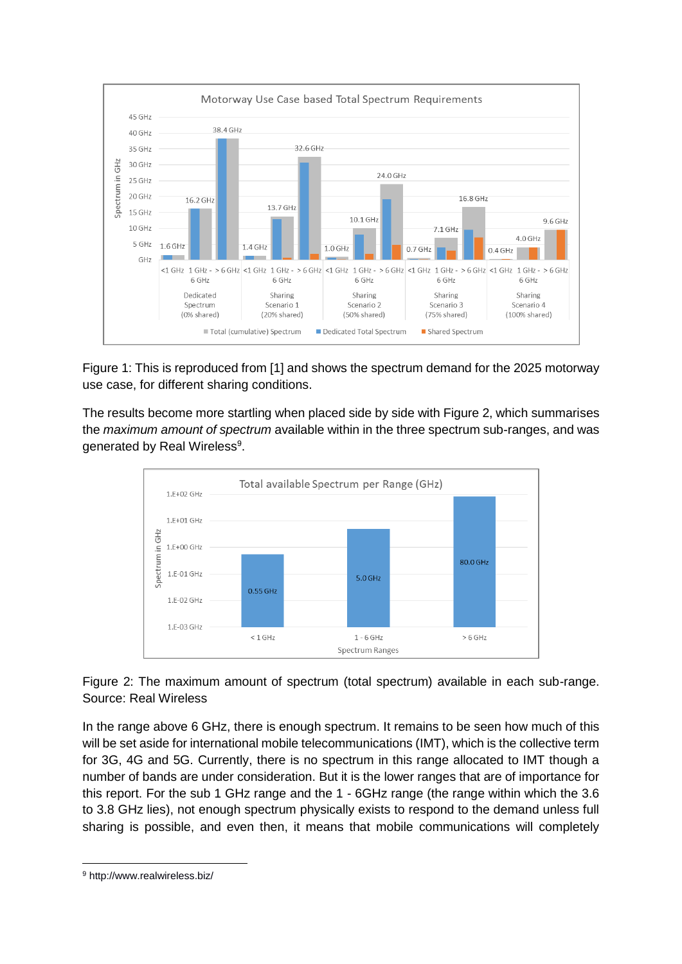

Figure 1: This is reproduced from [1] and shows the spectrum demand for the 2025 motorway use case, for different sharing conditions.

The results become more startling when placed side by side with Figure 2, which summarises the *maximum amount of spectrum* available within in the three spectrum sub-ranges, and was generated by Real Wireless<sup>9</sup>.



Figure 2: The maximum amount of spectrum (total spectrum) available in each sub-range. Source: Real Wireless

In the range above 6 GHz, there is enough spectrum. It remains to be seen how much of this will be set aside for international mobile telecommunications (IMT), which is the collective term for 3G, 4G and 5G. Currently, there is no spectrum in this range allocated to IMT though a number of bands are under consideration. But it is the lower ranges that are of importance for this report. For the sub 1 GHz range and the 1 - 6GHz range (the range within which the 3.6 to 3.8 GHz lies), not enough spectrum physically exists to respond to the demand unless full sharing is possible, and even then, it means that mobile communications will completely

**.** 

<sup>9</sup> http://www.realwireless.biz/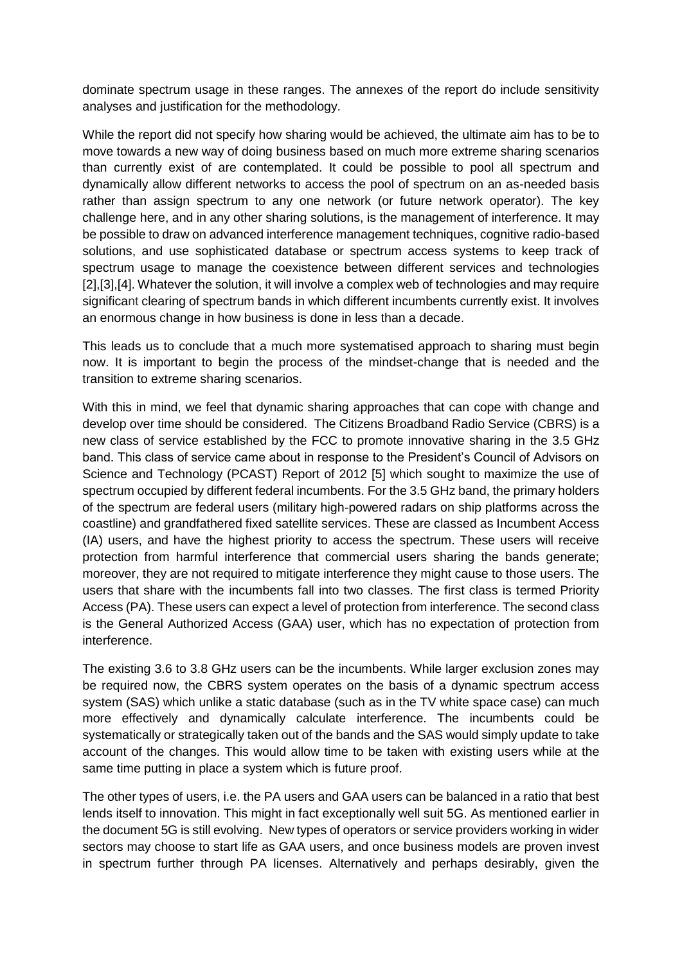dominate spectrum usage in these ranges. The annexes of the report do include sensitivity analyses and justification for the methodology.

While the report did not specify how sharing would be achieved, the ultimate aim has to be to move towards a new way of doing business based on much more extreme sharing scenarios than currently exist of are contemplated. It could be possible to pool all spectrum and dynamically allow different networks to access the pool of spectrum on an as-needed basis rather than assign spectrum to any one network (or future network operator). The key challenge here, and in any other sharing solutions, is the management of interference. It may be possible to draw on advanced interference management techniques, cognitive radio-based solutions, and use sophisticated database or spectrum access systems to keep track of spectrum usage to manage the coexistence between different services and technologies [2], [3], [4]. Whatever the solution, it will involve a complex web of technologies and may require significant clearing of spectrum bands in which different incumbents currently exist. It involves an enormous change in how business is done in less than a decade.

This leads us to conclude that a much more systematised approach to sharing must begin now. It is important to begin the process of the mindset-change that is needed and the transition to extreme sharing scenarios.

With this in mind, we feel that dynamic sharing approaches that can cope with change and develop over time should be considered. The Citizens Broadband Radio Service (CBRS) is a new class of service established by the FCC to promote innovative sharing in the 3.5 GHz band. This class of service came about in response to the President's Council of Advisors on Science and Technology (PCAST) Report of 2012 [5] which sought to maximize the use of spectrum occupied by different federal incumbents. For the 3.5 GHz band, the primary holders of the spectrum are federal users (military high-powered radars on ship platforms across the coastline) and grandfathered fixed satellite services. These are classed as Incumbent Access (IA) users, and have the highest priority to access the spectrum. These users will receive protection from harmful interference that commercial users sharing the bands generate; moreover, they are not required to mitigate interference they might cause to those users. The users that share with the incumbents fall into two classes. The first class is termed Priority Access (PA). These users can expect a level of protection from interference. The second class is the General Authorized Access (GAA) user, which has no expectation of protection from interference.

The existing 3.6 to 3.8 GHz users can be the incumbents. While larger exclusion zones may be required now, the CBRS system operates on the basis of a dynamic spectrum access system (SAS) which unlike a static database (such as in the TV white space case) can much more effectively and dynamically calculate interference. The incumbents could be systematically or strategically taken out of the bands and the SAS would simply update to take account of the changes. This would allow time to be taken with existing users while at the same time putting in place a system which is future proof.

The other types of users, i.e. the PA users and GAA users can be balanced in a ratio that best lends itself to innovation. This might in fact exceptionally well suit 5G. As mentioned earlier in the document 5G is still evolving. New types of operators or service providers working in wider sectors may choose to start life as GAA users, and once business models are proven invest in spectrum further through PA licenses. Alternatively and perhaps desirably, given the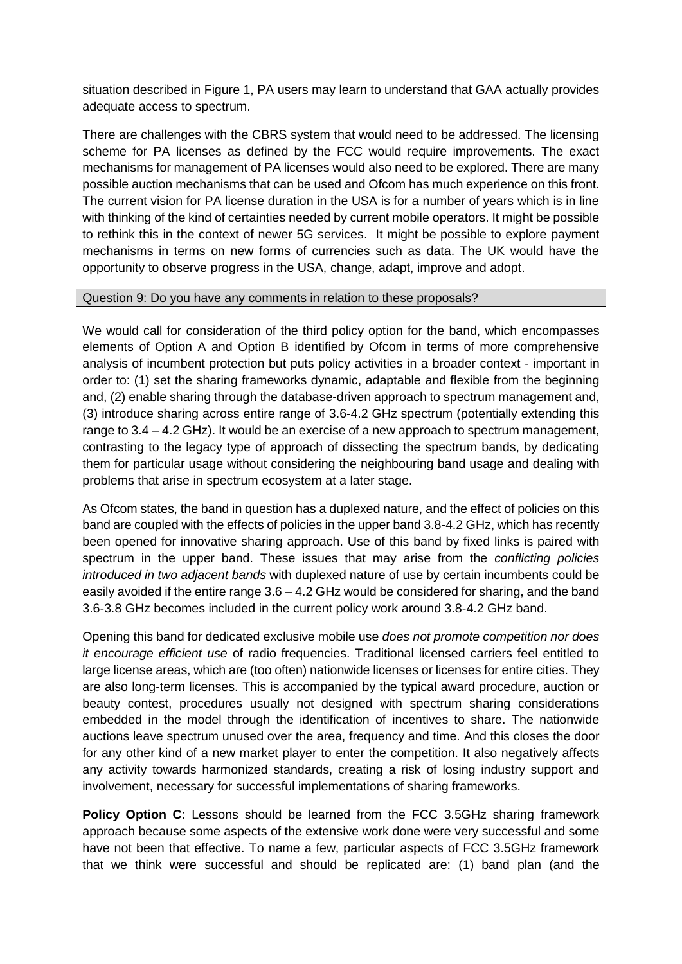situation described in Figure 1, PA users may learn to understand that GAA actually provides adequate access to spectrum.

There are challenges with the CBRS system that would need to be addressed. The licensing scheme for PA licenses as defined by the FCC would require improvements. The exact mechanisms for management of PA licenses would also need to be explored. There are many possible auction mechanisms that can be used and Ofcom has much experience on this front. The current vision for PA license duration in the USA is for a number of years which is in line with thinking of the kind of certainties needed by current mobile operators. It might be possible to rethink this in the context of newer 5G services. It might be possible to explore payment mechanisms in terms on new forms of currencies such as data. The UK would have the opportunity to observe progress in the USA, change, adapt, improve and adopt.

#### Question 9: Do you have any comments in relation to these proposals?

We would call for consideration of the third policy option for the band, which encompasses elements of Option A and Option B identified by Ofcom in terms of more comprehensive analysis of incumbent protection but puts policy activities in a broader context - important in order to: (1) set the sharing frameworks dynamic, adaptable and flexible from the beginning and, (2) enable sharing through the database-driven approach to spectrum management and, (3) introduce sharing across entire range of 3.6-4.2 GHz spectrum (potentially extending this range to 3.4 – 4.2 GHz). It would be an exercise of a new approach to spectrum management, contrasting to the legacy type of approach of dissecting the spectrum bands, by dedicating them for particular usage without considering the neighbouring band usage and dealing with problems that arise in spectrum ecosystem at a later stage.

As Ofcom states, the band in question has a duplexed nature, and the effect of policies on this band are coupled with the effects of policies in the upper band 3.8-4.2 GHz, which has recently been opened for innovative sharing approach. Use of this band by fixed links is paired with spectrum in the upper band. These issues that may arise from the *conflicting policies introduced in two adjacent bands* with duplexed nature of use by certain incumbents could be easily avoided if the entire range 3.6 – 4.2 GHz would be considered for sharing, and the band 3.6-3.8 GHz becomes included in the current policy work around 3.8-4.2 GHz band.

Opening this band for dedicated exclusive mobile use *does not promote competition nor does it encourage efficient use* of radio frequencies. Traditional licensed carriers feel entitled to large license areas, which are (too often) nationwide licenses or licenses for entire cities. They are also long-term licenses. This is accompanied by the typical award procedure, auction or beauty contest, procedures usually not designed with spectrum sharing considerations embedded in the model through the identification of incentives to share. The nationwide auctions leave spectrum unused over the area, frequency and time. And this closes the door for any other kind of a new market player to enter the competition. It also negatively affects any activity towards harmonized standards, creating a risk of losing industry support and involvement, necessary for successful implementations of sharing frameworks.

**Policy Option C**: Lessons should be learned from the FCC 3.5GHz sharing framework approach because some aspects of the extensive work done were very successful and some have not been that effective. To name a few, particular aspects of FCC 3.5GHz framework that we think were successful and should be replicated are: (1) band plan (and the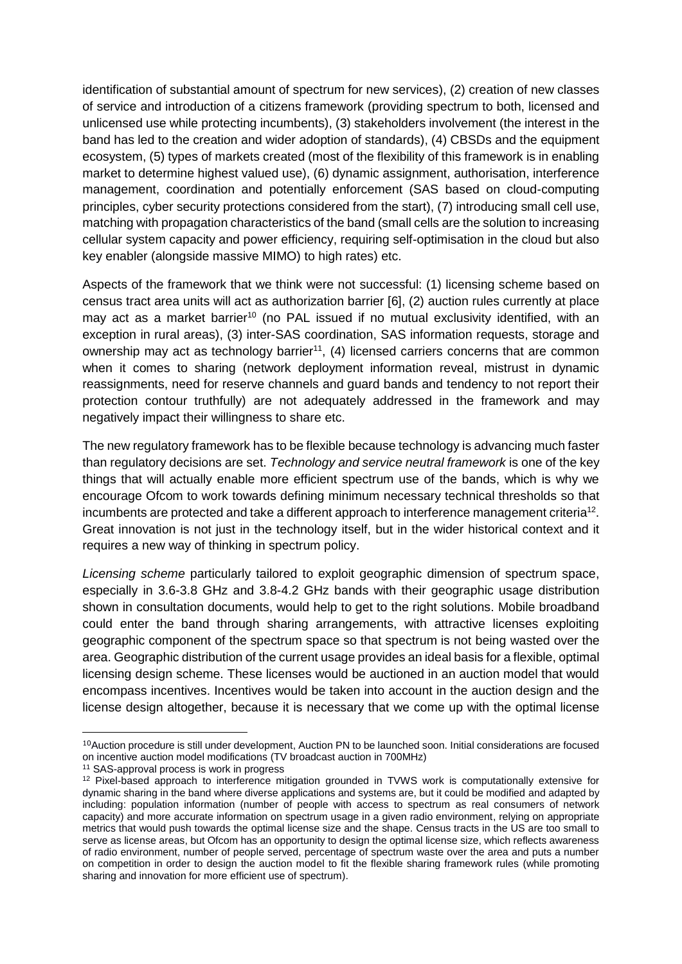identification of substantial amount of spectrum for new services), (2) creation of new classes of service and introduction of a citizens framework (providing spectrum to both, licensed and unlicensed use while protecting incumbents), (3) stakeholders involvement (the interest in the band has led to the creation and wider adoption of standards), (4) CBSDs and the equipment ecosystem, (5) types of markets created (most of the flexibility of this framework is in enabling market to determine highest valued use), (6) dynamic assignment, authorisation, interference management, coordination and potentially enforcement (SAS based on cloud-computing principles, cyber security protections considered from the start), (7) introducing small cell use, matching with propagation characteristics of the band (small cells are the solution to increasing cellular system capacity and power efficiency, requiring self-optimisation in the cloud but also key enabler (alongside massive MIMO) to high rates) etc.

Aspects of the framework that we think were not successful: (1) licensing scheme based on census tract area units will act as authorization barrier [6], (2) auction rules currently at place may act as a market barrier<sup>10</sup> (no PAL issued if no mutual exclusivity identified, with an exception in rural areas), (3) inter-SAS coordination, SAS information requests, storage and ownership may act as technology barrier<sup>11</sup>, (4) licensed carriers concerns that are common when it comes to sharing (network deployment information reveal, mistrust in dynamic reassignments, need for reserve channels and guard bands and tendency to not report their protection contour truthfully) are not adequately addressed in the framework and may negatively impact their willingness to share etc.

The new regulatory framework has to be flexible because technology is advancing much faster than regulatory decisions are set. *Technology and service neutral framework* is one of the key things that will actually enable more efficient spectrum use of the bands, which is why we encourage Ofcom to work towards defining minimum necessary technical thresholds so that incumbents are protected and take a different approach to interference management criteria<sup>12</sup>. Great innovation is not just in the technology itself, but in the wider historical context and it requires a new way of thinking in spectrum policy.

*Licensing scheme* particularly tailored to exploit geographic dimension of spectrum space, especially in 3.6-3.8 GHz and 3.8-4.2 GHz bands with their geographic usage distribution shown in consultation documents, would help to get to the right solutions. Mobile broadband could enter the band through sharing arrangements, with attractive licenses exploiting geographic component of the spectrum space so that spectrum is not being wasted over the area. Geographic distribution of the current usage provides an ideal basis for a flexible, optimal licensing design scheme. These licenses would be auctioned in an auction model that would encompass incentives. Incentives would be taken into account in the auction design and the license design altogether, because it is necessary that we come up with the optimal license

 $\overline{\phantom{a}}$ 

<sup>&</sup>lt;sup>10</sup>Auction procedure is still under development, Auction PN to be launched soon. Initial considerations are focused on incentive auction model modifications (TV broadcast auction in 700MHz)

<sup>&</sup>lt;sup>11</sup> SAS-approval process is work in progress

<sup>&</sup>lt;sup>12</sup> Pixel-based approach to interference mitigation grounded in TVWS work is computationally extensive for dynamic sharing in the band where diverse applications and systems are, but it could be modified and adapted by including: population information (number of people with access to spectrum as real consumers of network capacity) and more accurate information on spectrum usage in a given radio environment, relying on appropriate metrics that would push towards the optimal license size and the shape. Census tracts in the US are too small to serve as license areas, but Ofcom has an opportunity to design the optimal license size, which reflects awareness of radio environment, number of people served, percentage of spectrum waste over the area and puts a number on competition in order to design the auction model to fit the flexible sharing framework rules (while promoting sharing and innovation for more efficient use of spectrum).